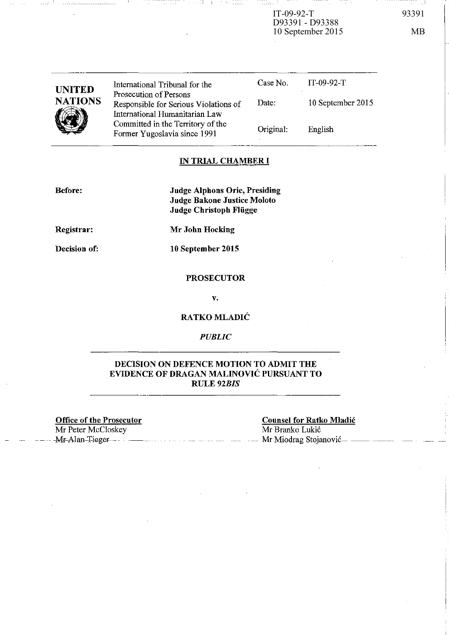$IT-09-92-T$ D93391 - D93388 10 September 2015 MB

-- - - --------- \_\_ I

| <b>UNITED</b><br><b>NATIONS</b> | International Tribunal for the<br>Prosecution of Persons<br>Responsible for Serious Violations of   | Case No.<br>Date: | $IT-09-92-T$<br>10 September 2015 |
|---------------------------------|-----------------------------------------------------------------------------------------------------|-------------------|-----------------------------------|
|                                 | International Humanitarian Law<br>Committed in the Territory of the<br>Former Yugoslavia since 1991 | Original:         | English                           |

#### **IN TRIAL CHAMBER I**

**Before:** 

---- <sup>1</sup>

**Judge Alphons Orie, Presiding Judge Bakone Justice Moloto Judge Christoph Fliigge** 

**Registrar:** 

**Mr John Hocking** 

**Decision of:** 

**10 September 2015** 

### **PROSECUTOR**

v.

**RATKOMLADIC** 

## *PUBLIC*

## **DECISION ON DEFENCE MOTION TO ADMIT THE EVIDENCE OF DRAGAN MALINOVIC PURSUANT TO**  RULE *92BIS*

**Office of the Prosecutor**  Mr Peter McCloskey

**Counsel for Ratko Mladic**  Mr Branko Lukic -Mr-Alan-Tieger- Mr Miodrag Stojanović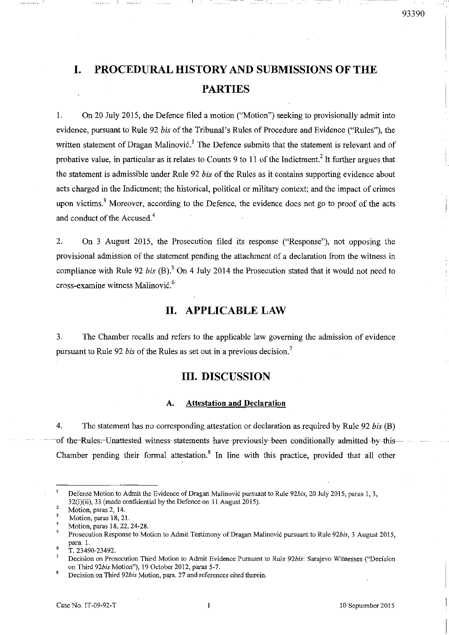# **I. PROCEDURAL HISTORY AND SUBMISSIONS OF THE PARTIES**

--- i \_

1. On 20 July 2015, the Defence filed a motion ("Motion") seeking to provisionally admit into evidence, pursuant to Rule 92 *his* of the Tribunal's Rules of Procedure and Evidence ("Rules"), the written statement of Dragan Malinović.<sup>1</sup> The Defence submits that the statement is relevant and of probative value, in particular as it relates to Counts 9 to  $11$  of the Indictment.<sup>2</sup> It further argues that the statement is admissible under Rule 92 *his* of the Rules as it contains supporting evidence about acts charged in the Indictment; the historical, political or military context; and the impact of crimes upon victims.<sup>3</sup> Moreover, according to the Defence, the evidence does not go to proof of the acts and conduct of the Accused.<sup>4</sup>

2. On 3 August 2015, the Prosecution filed its response ("Response"), not opposing the provisional admission of the statement pending the attachment of a declaration from the witness in compliance with Rule 92 *bis* (B).<sup>5</sup> On 4 July 2014 the Prosecution stated that it would not need to cross-examine witness Malinovic.<sup>6</sup>

## **II. APPLICABLE LAW**

3. The Chamber recalls and refers to the applicable law governing the admission of evidence pursuant to Rule 92 *bis* of the Rules as set out in a previous decision.<sup>7</sup>

## **III. DISCUSSION**

#### A. **Attestation** and **Declaration**

4. The statement has no corresponding attestation or declaration as required by Rule 92 *bis* (B) of the-Rules:-Unattested witness-statements have-previously-been conditionally admitted -by-this-Chamber pending their formal attestation.<sup>8</sup> In line with this practice, provided that all other

**Defense Motion to** *Admit* **the Evidence** of Dragan **Malinovic pursuant to Rule** *92bis,* **20 July 2015, paras I, 3,**   $32(i)(ii)$ , 33 (made confidential by the Defence on 31 August 2015).

<sup>2</sup>  **Motion, paras 2, 14.** 

 $\overline{\mathbf{3}}$ **Motion, paras 18, 21.** 

<sup>4</sup>  **Motion, paras 18,22,24-28.** 

<sup>5</sup> **Prosecution Response to Motion to Admit Testimony** of Dragan **Malinovi6 pursuant to Rule** *92bis,* **3 August 2015,**  para. 1.

<sup>6</sup>  T. 23490-23492.

 $\overline{7}$ **Decision on Prosecution Third Motion to Admit Evidence Pursuant to Rule** *92bis:* **Sarajevo Witnesses ("Decision**  on Third *92bis* Motion"), 19 October 2012, paras 5-7.

<sup>8</sup> **Decision on Third** *92bis* **Motion, para. 27 and references cited therein.**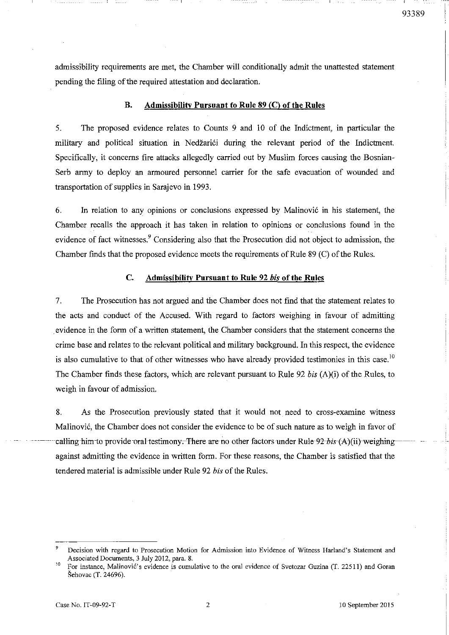admissibility requirements are met, the Chamber will conditionally admit the unattested statement pending the filing of the required attestation and declaration.

--- I

### B. Admissibility Pursuant to Rule 89 (C) of the Rules

5. The proposed evidence relates to Counts 9 and 10 of the Indictment, in particular the military and political situation in Nedžarići during the relevant period of the Indictment. Specifically, it concerns fire attacks allegedly carried out by Muslim forces causing the Bosnian-Serh army to deploy an armoured personnel carrier for the safe evacuation of wounded and transportation of supplies in Sarajevo in 1993.

6. In relation to any opinions or conclusions expressed by Malinovi6 in his statement, the Chamber recalls the approach it has taken in relation to opinions or conclusions found in the evidence of fact witnesses.<sup>9</sup> Considering also that the Prosecution did not object to admission, the Chamber finds that the proposed evidence meets the requirements of Rule 89 (C) of the Rules.

#### C. Admissibility Pursuant to Rule 92 *his* of the Rules

7. The Prosecution has not argued and the Chamber does not find that the statement relates to the acts and conduct of the Accused. With regard to factors weighing in favour of admitting evidence in the form of a written statement, the Chamber considers that the statement concerns the crime base and relates to the relevant political and military background. In this respect, the evidence is also cumulative to that of other witnesses who have already provided testimonies in this case.<sup>10</sup> The Chamber fmds these factors, which are relevant pursuant to Rule 92 *his* (A )(i) of the Rules, to weigh in favour of admission.

8. As the Prosecution previously stated that it would not need to cross-examine witness Malinovi6, the Chamber does not consider the evidence to be of such nature as to weigh in favor of calling him to provide oral testimony. There are no other factors under Rule 92 bis (A)(ii)-weighingagainst admitting the evidence in written form. For these reasons, the Chamber is satisfied that the tendered material is admissible under Rule 92 *his* of the Rules.

Decision with regard to Prosecution Motion for Admission into Evidence of Witness Harland's Statement and Associated Documents, 3 July 2012, para. 8.

<sup>&</sup>lt;sup>10</sup> For instance, Malinović's evidence is cumulative to the oral evidence of Svetozar Guzina (T. 22511) and Goran Sehovac (T. 24696).